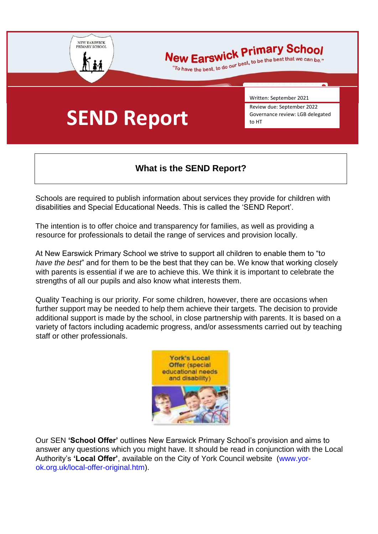

# New Earswick Primary School

ew Earswick Primary School

# **SEND Report**

Written: September 2021

Review due: September 2022 Governance review: LGB delegated to HT

# **What is the SEND Report?**

Schools are required to publish information about services they provide for children with disabilities and Special Educational Needs. This is called the 'SEND Report'.

The intention is to offer choice and transparency for families, as well as providing a resource for professionals to detail the range of services and provision locally.

At New Earswick Primary School we strive to support all children to enable them to "t*o have the best*" and for them to be the best that they can be. We know that working closely with parents is essential if we are to achieve this. We think it is important to celebrate the strengths of all our pupils and also know what interests them.

Quality Teaching is our priority. For some children, however, there are occasions when further support may be needed to help them achieve their targets. The decision to provide additional support is made by the school, in close partnership with parents. It is based on a variety of factors including academic progress, and/or assessments carried out by teaching staff or other professionals.



Our SEN **'School Offer'** outlines New Earswick Primary School's provision and aims to answer any questions which you might have. It should be read in conjunction with the Local Authority's **'Local Offer'**, available on the City of York Council website (www.yorok.org.uk/local-offer-original.htm).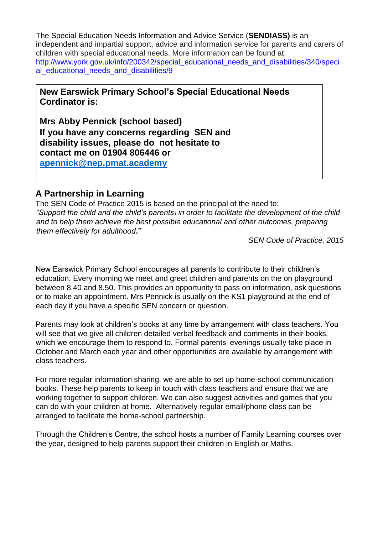The Special Education Needs Information and Advice Service (**SENDIASS)** is an independent and impartial support, advice and information service for parents and carers of children with special educational needs. More information can be found at: http://www.york.gov.uk/info/200342/special\_educational\_needs\_and\_disabilities/340/speci al\_educational\_needs\_and\_disabilities/9

**New Earswick Primary School's Special Educational Needs Cordinator is:** 

**Mrs Abby Pennick (school based) If you have any concerns regarding SEN and disability issues, please do not hesitate to contact me on 01904 806446 or apennick@nep.pmat.academy**

#### **A Partnership in Learning**

The SEN Code of Practice 2015 is based on the principal of the need to: *"Support the child and the child's parents1 in order to facilitate the development of the child and to help them achieve the best possible educational and other outcomes, preparing them effectively for adulthood***."**

*SEN Code of Practice, 2015* 

New Earswick Primary School encourages all parents to contribute to their children's education. Every morning we meet and greet children and parents on the on playground between 8.40 and 8.50. This provides an opportunity to pass on information, ask questions or to make an appointment. Mrs Pennick is usually on the KS1 playground at the end of each day if you have a specific SEN concern or question.

Parents may look at children's books at any time by arrangement with class teachers. You will see that we give all children detailed verbal feedback and comments in their books, which we encourage them to respond to. Formal parents' evenings usually take place in October and March each year and other opportunities are available by arrangement with class teachers.

For more regular information sharing, we are able to set up home-school communication books. These help parents to keep in touch with class teachers and ensure that we are working together to support children. We can also suggest activities and games that you can do with your children at home. Alternatively regular email/phone class can be arranged to facilitate the home-school partnership.

Through the Children's Centre, the school hosts a number of Family Learning courses over the year, designed to help parents support their children in English or Maths.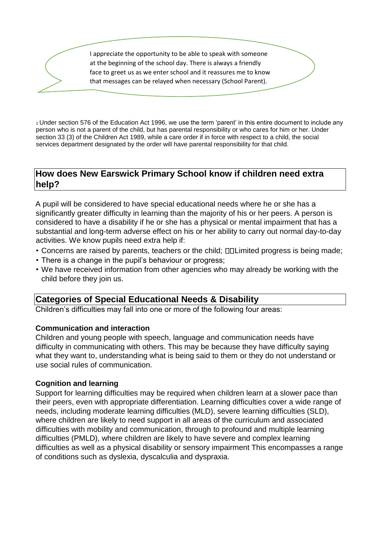I appreciate the opportunity to be able to speak with someone at the beginning of the school day. There is always a friendly face to greet us as we enter school and it reassures me to know that messages can be relayed when necessary (School Parent).

<sup>1</sup>Under section 576 of the Education Act 1996, we use the term 'parent' in this entire document to include any person who is not a parent of the child, but has parental responsibility or who cares for him or her. Under section 33 (3) of the Children Act 1989, while a care order if in force with respect to a child, the social services department designated by the order will have parental responsibility for that child.

#### **How does New Earswick Primary School know if children need extra help?**

A pupil will be considered to have special educational needs where he or she has a significantly greater difficulty in learning than the majority of his or her peers. A person is considered to have a disability if he or she has a physical or mental impairment that has a substantial and long-term adverse effect on his or her ability to carry out normal day-to-day activities. We know pupils need extra help if:

- Concerns are raised by parents, teachers or the child;  $\Box\Box$  Limited progress is being made;
- There is a change in the pupil's behaviour or progress;
- We have received information from other agencies who may already be working with the child before they join us.

#### **Categories of Special Educational Needs & Disability**

Children's difficulties may fall into one or more of the following four areas:

#### **Communication and interaction**

Children and young people with speech, language and communication needs have difficulty in communicating with others. This may be because they have difficulty saying what they want to, understanding what is being said to them or they do not understand or use social rules of communication.

#### **Cognition and learning**

Support for learning difficulties may be required when children learn at a slower pace than their peers, even with appropriate differentiation. Learning difficulties cover a wide range of needs, including moderate learning difficulties (MLD), severe learning difficulties (SLD), where children are likely to need support in all areas of the curriculum and associated difficulties with mobility and communication, through to profound and multiple learning difficulties (PMLD), where children are likely to have severe and complex learning difficulties as well as a physical disability or sensory impairment This encompasses a range of conditions such as dyslexia, dyscalculia and dyspraxia.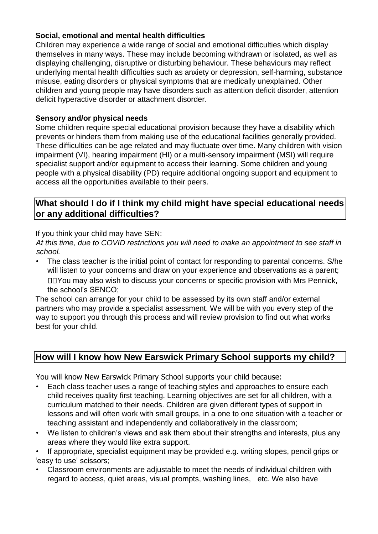#### **Social, emotional and mental health difficulties**

Children may experience a wide range of social and emotional difficulties which display themselves in many ways. These may include becoming withdrawn or isolated, as well as displaying challenging, disruptive or disturbing behaviour. These behaviours may reflect underlying mental health difficulties such as anxiety or depression, self-harming, substance misuse, eating disorders or physical symptoms that are medically unexplained. Other children and young people may have disorders such as attention deficit disorder, attention deficit hyperactive disorder or attachment disorder.

#### **Sensory and/or physical needs**

Some children require special educational provision because they have a disability which prevents or hinders them from making use of the educational facilities generally provided. These difficulties can be age related and may fluctuate over time. Many children with vision impairment (VI), hearing impairment (HI) or a multi-sensory impairment (MSI) will require specialist support and/or equipment to access their learning. Some children and young people with a physical disability (PD) require additional ongoing support and equipment to access all the opportunities available to their peers.

#### **What should I do if I think my child might have special educational needs or any additional difficulties?**

#### If you think your child may have SEN:

*At this time, due to COVID restrictions you will need to make an appointment to see staff in school.* 

• The class teacher is the initial point of contact for responding to parental concerns. S/he will listen to your concerns and draw on your experience and observations as a parent; You may also wish to discuss your concerns or specific provision with Mrs Pennick, the school's SENCO;

The school can arrange for your child to be assessed by its own staff and/or external partners who may provide a specialist assessment. We will be with you every step of the way to support you through this process and will review provision to find out what works best for your child.

### **How will I know how New Earswick Primary School supports my child?**

You will know New Earswick Primary School supports your child because:

- Each class teacher uses a range of teaching styles and approaches to ensure each child receives quality first teaching. Learning objectives are set for all children, with a curriculum matched to their needs. Children are given different types of support in lessons and will often work with small groups, in a one to one situation with a teacher or teaching assistant and independently and collaboratively in the classroom;
- We listen to children's views and ask them about their strengths and interests, plus any areas where they would like extra support.

• If appropriate, specialist equipment may be provided e.g. writing slopes, pencil grips or 'easy to use' scissors;

• Classroom environments are adjustable to meet the needs of individual children with regard to access, quiet areas, visual prompts, washing lines, etc. We also have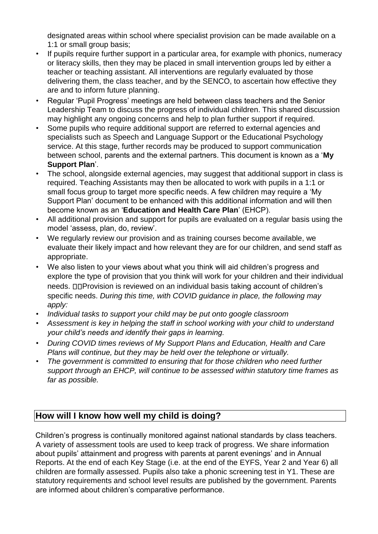designated areas within school where specialist provision can be made available on a 1:1 or small group basis;

- If pupils require further support in a particular area, for example with phonics, numeracy or literacy skills, then they may be placed in small intervention groups led by either a teacher or teaching assistant. All interventions are regularly evaluated by those delivering them, the class teacher, and by the SENCO, to ascertain how effective they are and to inform future planning.
- Regular 'Pupil Progress' meetings are held between class teachers and the Senior Leadership Team to discuss the progress of individual children. This shared discussion may highlight any ongoing concerns and help to plan further support if required.
- Some pupils who require additional support are referred to external agencies and specialists such as Speech and Language Support or the Educational Psychology service. At this stage, further records may be produced to support communication between school, parents and the external partners. This document is known as a '**My Support Plan**'.
- The school, alongside external agencies, may suggest that additional support in class is required. Teaching Assistants may then be allocated to work with pupils in a 1:1 or small focus group to target more specific needs. A few children may require a 'My Support Plan' document to be enhanced with this additional information and will then become known as an '**Education and Health Care Plan**' (EHCP).
- All additional provision and support for pupils are evaluated on a regular basis using the model 'assess, plan, do, review'.
- We regularly review our provision and as training courses become available, we evaluate their likely impact and how relevant they are for our children, and send staff as appropriate.
- We also listen to your views about what you think will aid children's progress and explore the type of provision that you think will work for your children and their individual needs. **ODProvision is reviewed on an individual basis taking account of children's** specific needs. *During this time, with COVID guidance in place, the following may apply:*
- *Individual tasks to support your child may be put onto google classroom*
- *Assessment is key in helping the staff in school working with your child to understand your child's needs and identify their gaps in learning.*
- *During COVID times reviews of My Support Plans and Education, Health and Care Plans will continue, but they may be held over the telephone or virtually.*
- *The government is committed to ensuring that for those children who need further support through an EHCP, will continue to be assessed within statutory time frames as far as possible.*

# **How will I know how well my child is doing?**

Children's progress is continually monitored against national standards by class teachers. A variety of assessment tools are used to keep track of progress. We share information about pupils' attainment and progress with parents at parent evenings' and in Annual Reports. At the end of each Key Stage (i.e. at the end of the EYFS, Year 2 and Year 6) all children are formally assessed. Pupils also take a phonic screening test in Y1. These are statutory requirements and school level results are published by the government. Parents are informed about children's comparative performance.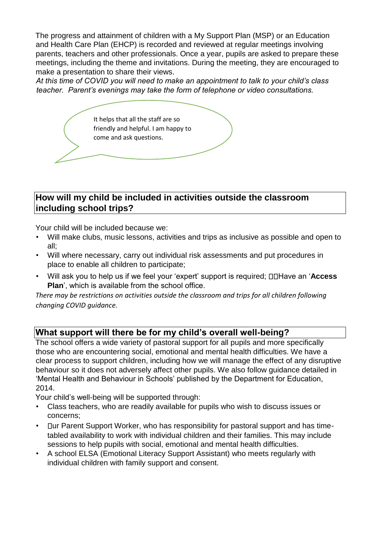The progress and attainment of children with a My Support Plan (MSP) or an Education and Health Care Plan (EHCP) is recorded and reviewed at regular meetings involving parents, teachers and other professionals. Once a year, pupils are asked to prepare these meetings, including the theme and invitations. During the meeting, they are encouraged to make a presentation to share their views.

*At this time of COVID you will need to make an appointment to talk to your child's class teacher. Parent's evenings may take the form of telephone or video consultations.* 

It helps that all the staff are so friendly and helpful. I am happy to come and ask questions.

### **How will my child be included in activities outside the classroom including school trips?**

Your child will be included because we:

- Will make clubs, music lessons, activities and trips as inclusive as possible and open to all;
- Will where necessary, carry out individual risk assessments and put procedures in place to enable all children to participate;
- Will ask you to help us if we feel your 'expert' support is required;  $\Box\Box$  Have an '**Access Plan**', which is available from the school office.

*There may be restrictions on activities outside the classroom and trips for all children following changing COVID guidance.* 

### **What support will there be for my child's overall well-being?**

The school offers a wide variety of pastoral support for all pupils and more specifically those who are encountering social, emotional and mental health difficulties. We have a clear process to support children, including how we will manage the effect of any disruptive behaviour so it does not adversely affect other pupils. We also follow guidance detailed in 'Mental Health and Behaviour in Schools' published by the Department for Education, 2014.

Your child's well-being will be supported through:

- Class teachers, who are readily available for pupils who wish to discuss issues or concerns;
- ur Parent Support Worker, who has responsibility for pastoral support and has timetabled availability to work with individual children and their families. This may include sessions to help pupils with social, emotional and mental health difficulties.
- A school ELSA (Emotional Literacy Support Assistant) who meets regularly with individual children with family support and consent.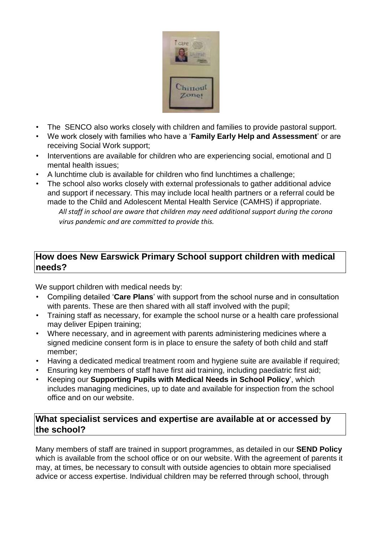

- The SENCO also works closely with children and families to provide pastoral support.
- We work closely with families who have a '**Family Early Help and Assessment**' or are receiving Social Work support;
- Interventions are available for children who are experiencing social, emotional and  $\square$ mental health issues;
- A lunchtime club is available for children who find lunchtimes a challenge;
- The school also works closely with external professionals to gather additional advice and support if necessary. This may include local health partners or a referral could be made to the Child and Adolescent Mental Health Service (CAMHS) if appropriate. *All staff in school are aware that children may need additional support during the corona virus pandemic and are committed to provide this.*

### **How does New Earswick Primary School support children with medical needs?**

We support children with medical needs by:

- Compiling detailed '**Care Plans**' with support from the school nurse and in consultation with parents. These are then shared with all staff involved with the pupil;
- Training staff as necessary, for example the school nurse or a health care professional may deliver Epipen training;
- Where necessary, and in agreement with parents administering medicines where a signed medicine consent form is in place to ensure the safety of both child and staff member;
- Having a dedicated medical treatment room and hygiene suite are available if required;
- Ensuring key members of staff have first aid training, including paediatric first aid;
- Keeping our **Supporting Pupils with Medical Needs in School Policy**', which includes managing medicines, up to date and available for inspection from the school office and on our website.

# **What specialist services and expertise are available at or accessed by the school?**

Many members of staff are trained in support programmes, as detailed in our **SEND Policy**  which is available from the school office or on our website. With the agreement of parents it may, at times, be necessary to consult with outside agencies to obtain more specialised advice or access expertise. Individual children may be referred through school, through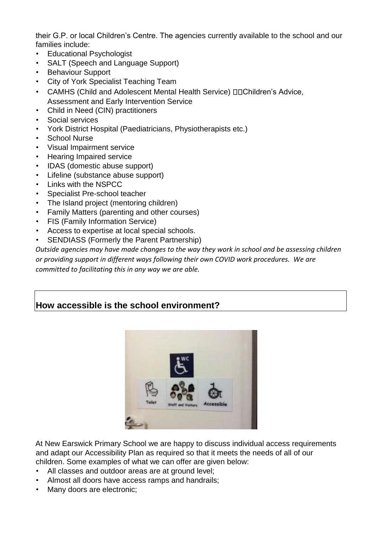their G.P. or local Children's Centre. The agencies currently available to the school and our families include:

- Educational Psychologist
- SALT (Speech and Language Support)
- Behaviour Support
- City of York Specialist Teaching Team
- CAMHS (Child and Adolescent Mental Health Service) **DDChildren's Advice**, Assessment and Early Intervention Service
- Child in Need (CIN) practitioners
- Social services
- York District Hospital (Paediatricians, Physiotherapists etc.)
- School Nurse
- Visual Impairment service
- Hearing Impaired service
- IDAS (domestic abuse support)
- Lifeline (substance abuse support)
- Links with the NSPCC
- Specialist Pre-school teacher
- The Island project (mentoring children)
- Family Matters (parenting and other courses)
- FIS (Family Information Service)
- Access to expertise at local special schools.
- SENDIASS (Formerly the Parent Partnership)

*Outside agencies may have made changes to the way they work in school and be assessing children or providing support in different ways following their own COVID work procedures. We are committed to facilitating this in any way we are able.* 

### **How accessible is the school environment?**



At New Earswick Primary School we are happy to discuss individual access requirements and adapt our Accessibility Plan as required so that it meets the needs of all of our children. Some examples of what we can offer are given below:

- All classes and outdoor areas are at ground level;
- Almost all doors have access ramps and handrails;
- Many doors are electronic;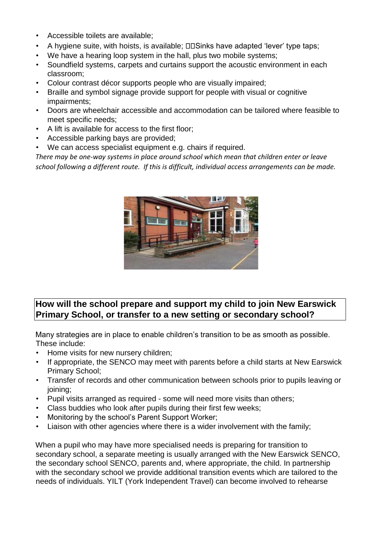- Accessible toilets are available;
- A hygiene suite, with hoists, is available;  $\square \square$  Sinks have adapted 'lever' type taps;
- We have a hearing loop system in the hall, plus two mobile systems;
- Soundfield systems, carpets and curtains support the acoustic environment in each classroom;
- Colour contrast décor supports people who are visually impaired;
- Braille and symbol signage provide support for people with visual or cognitive impairments;
- Doors are wheelchair accessible and accommodation can be tailored where feasible to meet specific needs;
- A lift is available for access to the first floor;
- Accessible parking bays are provided;
- We can access specialist equipment e.g. chairs if required.

*There may be one-way systems in place around school which mean that children enter or leave school following a different route. If this is difficult, individual access arrangements can be made.* 



# **How will the school prepare and support my child to join New Earswick Primary School, or transfer to a new setting or secondary school?**

Many strategies are in place to enable children's transition to be as smooth as possible. These include:

- Home visits for new nursery children;
- If appropriate, the SENCO may meet with parents before a child starts at New Earswick Primary School;
- Transfer of records and other communication between schools prior to pupils leaving or joining;
- Pupil visits arranged as required some will need more visits than others;
- Class buddies who look after pupils during their first few weeks;
- Monitoring by the school's Parent Support Worker;
- Liaison with other agencies where there is a wider involvement with the family;

When a pupil who may have more specialised needs is preparing for transition to secondary school, a separate meeting is usually arranged with the New Earswick SENCO, the secondary school SENCO, parents and, where appropriate, the child. In partnership with the secondary school we provide additional transition events which are tailored to the needs of individuals. YILT (York Independent Travel) can become involved to rehearse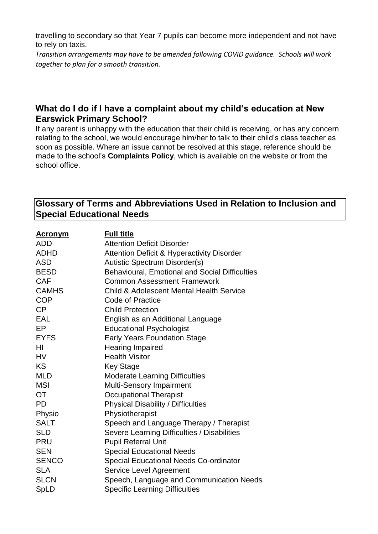travelling to secondary so that Year 7 pupils can become more independent and not have to rely on taxis.

*Transition arrangements may have to be amended following COVID guidance. Schools will work together to plan for a smooth transition.* 

# **What do I do if I have a complaint about my child's education at New Earswick Primary School?**

If any parent is unhappy with the education that their child is receiving, or has any concern relating to the school, we would encourage him/her to talk to their child's class teacher as soon as possible. Where an issue cannot be resolved at this stage, reference should be made to the school's **Complaints Policy**, which is available on the website or from the school office.

### **Glossary of Terms and Abbreviations Used in Relation to Inclusion and Special Educational Needs**

| <u>Acronym</u> | <b>Full title</b>                                     |
|----------------|-------------------------------------------------------|
| <b>ADD</b>     | <b>Attention Deficit Disorder</b>                     |
| <b>ADHD</b>    | <b>Attention Deficit &amp; Hyperactivity Disorder</b> |
| ASD            | <b>Autistic Spectrum Disorder(s)</b>                  |
| <b>BESD</b>    | <b>Behavioural, Emotional and Social Difficulties</b> |
| <b>CAF</b>     | <b>Common Assessment Framework</b>                    |
| <b>CAMHS</b>   | <b>Child &amp; Adolescent Mental Health Service</b>   |
| <b>COP</b>     | Code of Practice                                      |
| <b>CP</b>      | <b>Child Protection</b>                               |
| <b>EAL</b>     | English as an Additional Language                     |
| EP             | <b>Educational Psychologist</b>                       |
| <b>EYFS</b>    | <b>Early Years Foundation Stage</b>                   |
| ΗI             | <b>Hearing Impaired</b>                               |
| <b>HV</b>      | <b>Health Visitor</b>                                 |
| <b>KS</b>      | <b>Key Stage</b>                                      |
| <b>MLD</b>     | <b>Moderate Learning Difficulties</b>                 |
| <b>MSI</b>     | <b>Multi-Sensory Impairment</b>                       |
| ОT             | <b>Occupational Therapist</b>                         |
| <b>PD</b>      | <b>Physical Disability / Difficulties</b>             |
| Physio         | Physiotherapist                                       |
| <b>SALT</b>    | Speech and Language Therapy / Therapist               |
| SLD            | Severe Learning Difficulties / Disabilities           |
| <b>PRU</b>     | <b>Pupil Referral Unit</b>                            |
| <b>SEN</b>     | <b>Special Educational Needs</b>                      |
| <b>SENCO</b>   | <b>Special Educational Needs Co-ordinator</b>         |
| <b>SLA</b>     | Service Level Agreement                               |
| <b>SLCN</b>    | Speech, Language and Communication Needs              |
| SpLD           | <b>Specific Learning Difficulties</b>                 |